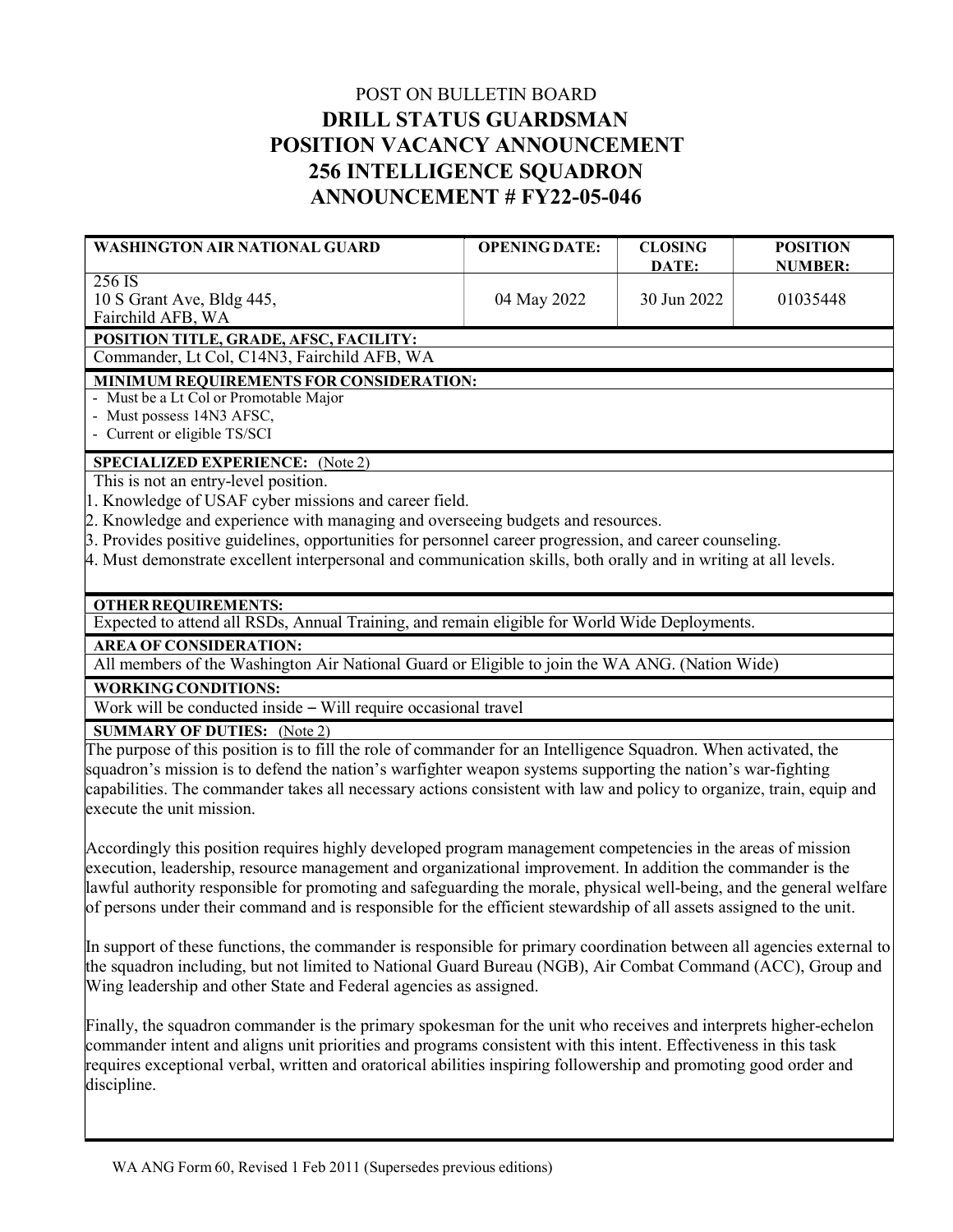## POST ON BULLETIN BOARD DRILL STATUS GUARDSMAN POSITION VACANCY ANNOUNCEMENT 256 INTELLIGENCE SQUADRON ANNOUNCEMENT # FY22-05-046

| <b>WASHINGTON AIR NATIONAL GUARD</b>                                                                                                                                                                                                 | <b>OPENING DATE:</b> | <b>CLOSING</b><br>DATE: | <b>POSITION</b><br><b>NUMBER:</b> |
|--------------------------------------------------------------------------------------------------------------------------------------------------------------------------------------------------------------------------------------|----------------------|-------------------------|-----------------------------------|
| 256 IS<br>10 S Grant Ave, Bldg 445,<br>Fairchild AFB, WA                                                                                                                                                                             | 04 May 2022          | 30 Jun 2022             | 01035448                          |
| POSITION TITLE, GRADE, AFSC, FACILITY:                                                                                                                                                                                               |                      |                         |                                   |
| Commander, Lt Col, C14N3, Fairchild AFB, WA                                                                                                                                                                                          |                      |                         |                                   |
| MINIMUM REQUIREMENTS FOR CONSIDERATION:<br>- Must be a Lt Col or Promotable Major                                                                                                                                                    |                      |                         |                                   |
| - Must possess 14N3 AFSC,                                                                                                                                                                                                            |                      |                         |                                   |
| - Current or eligible TS/SCI                                                                                                                                                                                                         |                      |                         |                                   |
| <b>SPECIALIZED EXPERIENCE:</b> (Note 2)                                                                                                                                                                                              |                      |                         |                                   |
| This is not an entry-level position.                                                                                                                                                                                                 |                      |                         |                                   |
| 1. Knowledge of USAF cyber missions and career field.                                                                                                                                                                                |                      |                         |                                   |
| 2. Knowledge and experience with managing and overseeing budgets and resources.                                                                                                                                                      |                      |                         |                                   |
| 3. Provides positive guidelines, opportunities for personnel career progression, and career counseling.                                                                                                                              |                      |                         |                                   |
| 4. Must demonstrate excellent interpersonal and communication skills, both orally and in writing at all levels.                                                                                                                      |                      |                         |                                   |
| <b>OTHER REQUIREMENTS:</b>                                                                                                                                                                                                           |                      |                         |                                   |
| Expected to attend all RSDs, Annual Training, and remain eligible for World Wide Deployments.                                                                                                                                        |                      |                         |                                   |
| <b>AREA OF CONSIDERATION:</b>                                                                                                                                                                                                        |                      |                         |                                   |
| All members of the Washington Air National Guard or Eligible to join the WA ANG. (Nation Wide)                                                                                                                                       |                      |                         |                                   |
| <b>WORKING CONDITIONS:</b>                                                                                                                                                                                                           |                      |                         |                                   |
| Work will be conducted inside - Will require occasional travel                                                                                                                                                                       |                      |                         |                                   |
| <b>SUMMARY OF DUTIES:</b> (Note 2)                                                                                                                                                                                                   |                      |                         |                                   |
| The purpose of this position is to fill the role of commander for an Intelligence Squadron. When activated, the                                                                                                                      |                      |                         |                                   |
| squadron's mission is to defend the nation's warfighter weapon systems supporting the nation's war-fighting                                                                                                                          |                      |                         |                                   |
| capabilities. The commander takes all necessary actions consistent with law and policy to organize, train, equip and                                                                                                                 |                      |                         |                                   |
| execute the unit mission.                                                                                                                                                                                                            |                      |                         |                                   |
| Accordingly this position requires highly developed program management competencies in the areas of mission                                                                                                                          |                      |                         |                                   |
| execution, leadership, resource management and organizational improvement. In addition the commander is the                                                                                                                          |                      |                         |                                   |
| lawful authority responsible for promoting and safeguarding the morale, physical well-being, and the general welfare                                                                                                                 |                      |                         |                                   |
| of persons under their command and is responsible for the efficient stewardship of all assets assigned to the unit.                                                                                                                  |                      |                         |                                   |
|                                                                                                                                                                                                                                      |                      |                         |                                   |
| In support of these functions, the commander is responsible for primary coordination between all agencies external to<br>the squadron including, but not limited to National Guard Bureau (NGB), Air Combat Command (ACC), Group and |                      |                         |                                   |
| Wing leadership and other State and Federal agencies as assigned.                                                                                                                                                                    |                      |                         |                                   |
|                                                                                                                                                                                                                                      |                      |                         |                                   |
| Finally, the squadron commander is the primary spokesman for the unit who receives and interprets higher-echelon                                                                                                                     |                      |                         |                                   |
| commander intent and aligns unit priorities and programs consistent with this intent. Effectiveness in this task                                                                                                                     |                      |                         |                                   |
| requires exceptional verbal, written and oratorical abilities inspiring followership and promoting good order and                                                                                                                    |                      |                         |                                   |
| discipline.                                                                                                                                                                                                                          |                      |                         |                                   |